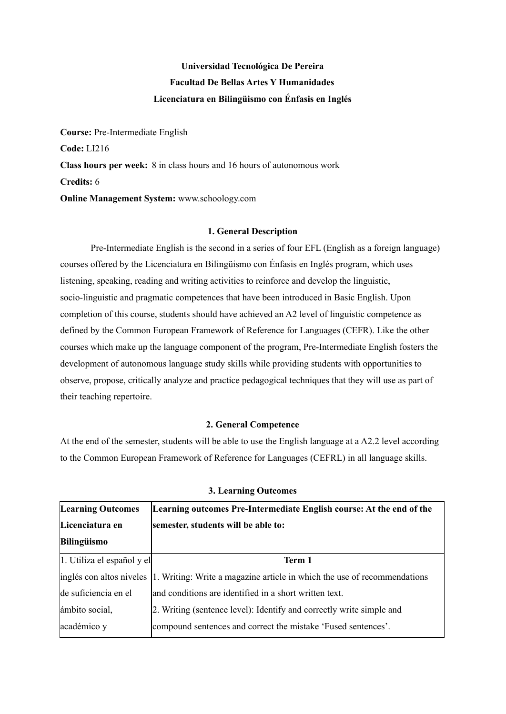# **Universidad Tecnológica De Pereira Facultad De Bellas Artes Y Humanidades Licenciatura en Bilingüismo con Énfasis en Inglés**

**Course:** Pre-Intermediate English **Code:** LI216 **Class hours per week:** 8 in class hours and 16 hours of autonomous work **Credits:** 6 **Online Management System:** www.schoology.com

### **1. General Description**

Pre-Intermediate English is the second in a series of four EFL (English as a foreign language) courses offered by the Licenciatura en Bilingüismo con Énfasis en Inglés program, which uses listening, speaking, reading and writing activities to reinforce and develop the linguistic, socio-linguistic and pragmatic competences that have been introduced in Basic English. Upon completion of this course, students should have achieved an A2 level of linguistic competence as defined by the Common European Framework of Reference for Languages (CEFR). Like the other courses which make up the language component of the program, Pre-Intermediate English fosters the development of autonomous language study skills while providing students with opportunities to observe, propose, critically analyze and practice pedagogical techniques that they will use as part of their teaching repertoire.

#### **2. General Competence**

At the end of the semester, students will be able to use the English language at a A2.2 level according to the Common European Framework of Reference for Languages (CEFRL) in all language skills.

| <b>Learning Outcomes</b>   | Learning outcomes Pre-Intermediate English course: At the end of the                              |
|----------------------------|---------------------------------------------------------------------------------------------------|
| Licenciatura en            | semester, students will be able to:                                                               |
| Bilingüismo                |                                                                                                   |
| 1. Utiliza el español y el | Term 1                                                                                            |
|                            | inglés con altos niveles 1. Writing: Write a magazine article in which the use of recommendations |
| de suficiencia en el       | and conditions are identified in a short written text.                                            |
| ámbito social,             | 2. Writing (sentence level): Identify and correctly write simple and                              |
| académico y                | compound sentences and correct the mistake 'Fused sentences'.                                     |

#### **3. Learning Outcomes**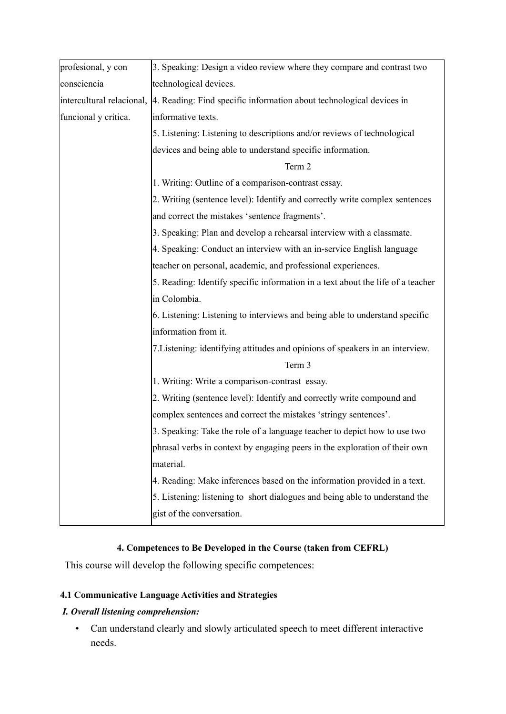| profesional, y con   | 3. Speaking: Design a video review where they compare and contrast two                          |  |  |
|----------------------|-------------------------------------------------------------------------------------------------|--|--|
|                      |                                                                                                 |  |  |
| consciencia          | technological devices.                                                                          |  |  |
|                      | intercultural relacional, [4. Reading: Find specific information about technological devices in |  |  |
| funcional y crítica. | informative texts.                                                                              |  |  |
|                      | 5. Listening: Listening to descriptions and/or reviews of technological                         |  |  |
|                      | devices and being able to understand specific information.                                      |  |  |
|                      | Term 2                                                                                          |  |  |
|                      | 1. Writing: Outline of a comparison-contrast essay.                                             |  |  |
|                      | 2. Writing (sentence level): Identify and correctly write complex sentences                     |  |  |
|                      | and correct the mistakes 'sentence fragments'.                                                  |  |  |
|                      | 3. Speaking: Plan and develop a rehearsal interview with a classmate.                           |  |  |
|                      | 4. Speaking: Conduct an interview with an in-service English language                           |  |  |
|                      | teacher on personal, academic, and professional experiences.                                    |  |  |
|                      | 5. Reading: Identify specific information in a text about the life of a teacher                 |  |  |
|                      | in Colombia.                                                                                    |  |  |
|                      | 6. Listening: Listening to interviews and being able to understand specific                     |  |  |
|                      | information from it.                                                                            |  |  |
|                      | 7. Listening: identifying attitudes and opinions of speakers in an interview.                   |  |  |
|                      | Term 3                                                                                          |  |  |
|                      | 1. Writing: Write a comparison-contrast essay.                                                  |  |  |
|                      | 2. Writing (sentence level): Identify and correctly write compound and                          |  |  |
|                      | complex sentences and correct the mistakes 'stringy sentences'.                                 |  |  |
|                      | 3. Speaking: Take the role of a language teacher to depict how to use two                       |  |  |
|                      | phrasal verbs in context by engaging peers in the exploration of their own                      |  |  |
|                      | material.                                                                                       |  |  |
|                      | 4. Reading: Make inferences based on the information provided in a text.                        |  |  |
|                      | 5. Listening: listening to short dialogues and being able to understand the                     |  |  |
|                      | gist of the conversation.                                                                       |  |  |
|                      |                                                                                                 |  |  |

# **4. Competences to Be Developed in the Course (taken from CEFRL)**

This course will develop the following specific competences:

# **4.1 Communicative Language Activities and Strategies**

# *I. Overall listening comprehension:*

• Can understand clearly and slowly articulated speech to meet different interactive needs.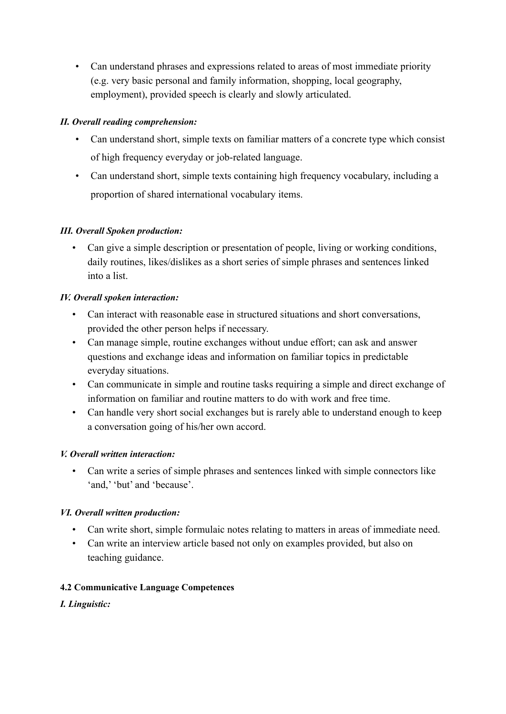• Can understand phrases and expressions related to areas of most immediate priority (e.g. very basic personal and family information, shopping, local geography, employment), provided speech is clearly and slowly articulated.

# *II. Overall reading comprehension:*

- Can understand short, simple texts on familiar matters of a concrete type which consist of high frequency everyday or job-related language.
- Can understand short, simple texts containing high frequency vocabulary, including a proportion of shared international vocabulary items.

# *III. Overall Spoken production:*

• Can give a simple description or presentation of people, living or working conditions, daily routines, likes/dislikes as a short series of simple phrases and sentences linked into a list.

# *IV. Overall spoken interaction:*

- Can interact with reasonable ease in structured situations and short conversations, provided the other person helps if necessary.
- Can manage simple, routine exchanges without undue effort; can ask and answer questions and exchange ideas and information on familiar topics in predictable everyday situations.
- Can communicate in simple and routine tasks requiring a simple and direct exchange of information on familiar and routine matters to do with work and free time.
- Can handle very short social exchanges but is rarely able to understand enough to keep a conversation going of his/her own accord.

# *V. Overall written interaction:*

• Can write a series of simple phrases and sentences linked with simple connectors like 'and,' 'but' and 'because'.

# *VI. Overall written production:*

- Can write short, simple formulaic notes relating to matters in areas of immediate need.
- Can write an interview article based not only on examples provided, but also on teaching guidance.

# **4.2 Communicative Language Competences**

*I. Linguistic:*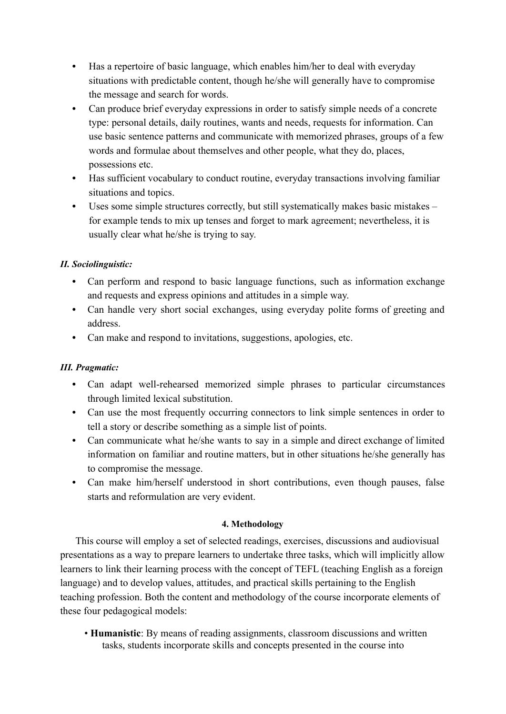- **•** Has a repertoire of basic language, which enables him/her to deal with everyday situations with predictable content, though he/she will generally have to compromise the message and search for words.
- **•** Can produce brief everyday expressions in order to satisfy simple needs of a concrete type: personal details, daily routines, wants and needs, requests for information. Can use basic sentence patterns and communicate with memorized phrases, groups of a few words and formulae about themselves and other people, what they do, places, possessions etc.
- **•** Has sufficient vocabulary to conduct routine, everyday transactions involving familiar situations and topics.
- **•** Uses some simple structures correctly, but still systematically makes basic mistakes for example tends to mix up tenses and forget to mark agreement; nevertheless, it is usually clear what he/she is trying to say.

# *II. Sociolinguistic:*

- **•** Can perform and respond to basic language functions, such as information exchange and requests and express opinions and attitudes in a simple way.
- **•** Can handle very short social exchanges, using everyday polite forms of greeting and address.
- **•** Can make and respond to invitations, suggestions, apologies, etc.

# *III. Pragmatic:*

- **•** Can adapt well-rehearsed memorized simple phrases to particular circumstances through limited lexical substitution.
- **•** Can use the most frequently occurring connectors to link simple sentences in order to tell a story or describe something as a simple list of points.
- **•** Can communicate what he/she wants to say in a simple and direct exchange of limited information on familiar and routine matters, but in other situations he/she generally has to compromise the message.
- **•** Can make him/herself understood in short contributions, even though pauses, false starts and reformulation are very evident.

# **4. Methodology**

This course will employ a set of selected readings, exercises, discussions and audiovisual presentations as a way to prepare learners to undertake three tasks, which will implicitly allow learners to link their learning process with the concept of TEFL (teaching English as a foreign language) and to develop values, attitudes, and practical skills pertaining to the English teaching profession. Both the content and methodology of the course incorporate elements of these four pedagogical models:

• **Humanistic**: By means of reading assignments, classroom discussions and written tasks, students incorporate skills and concepts presented in the course into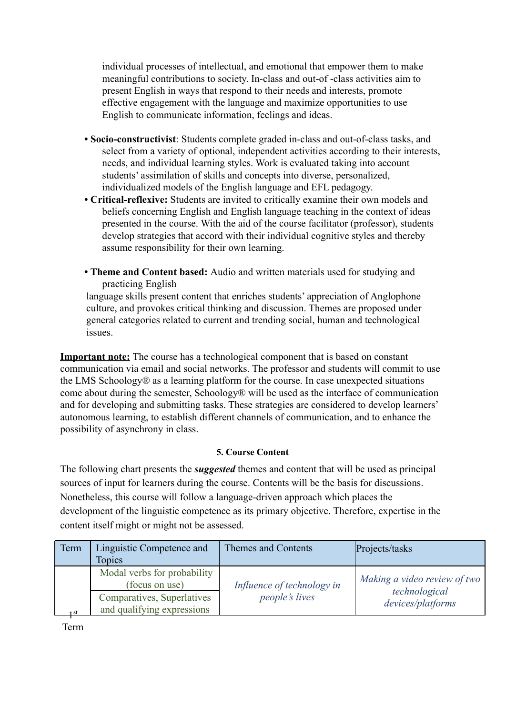individual processes of intellectual, and emotional that empower them to make meaningful contributions to society. In-class and out-of -class activities aim to present English in ways that respond to their needs and interests, promote effective engagement with the language and maximize opportunities to use English to communicate information, feelings and ideas.

- **Socio-constructivist**: Students complete graded in-class and out-of-class tasks, and select from a variety of optional, independent activities according to their interests, needs, and individual learning styles. Work is evaluated taking into account students' assimilation of skills and concepts into diverse, personalized, individualized models of the English language and EFL pedagogy.
- **Critical-reflexive:** Students are invited to critically examine their own models and beliefs concerning English and English language teaching in the context of ideas presented in the course. With the aid of the course facilitator (professor), students develop strategies that accord with their individual cognitive styles and thereby assume responsibility for their own learning.
- **Theme and Content based:** Audio and written materials used for studying and practicing English

language skills present content that enriches students' appreciation of Anglophone culture, and provokes critical thinking and discussion. Themes are proposed under general categories related to current and trending social, human and technological issues.

**Important note:** The course has a technological component that is based on constant communication via email and social networks. The professor and students will commit to use the LMS Schoology® as a learning platform for the course. In case unexpected situations come about during the semester, Schoology® will be used as the interface of communication and for developing and submitting tasks. These strategies are considered to develop learners' autonomous learning, to establish different channels of communication, and to enhance the possibility of asynchrony in class.

# **5. Course Content**

The following chart presents the *suggested* themes and content that will be used as principal sources of input for learners during the course. Contents will be the basis for discussions. Nonetheless, this course will follow a language-driven approach which places the development of the linguistic competence as its primary objective. Therefore, expertise in the content itself might or might not be assessed.

| Term | Linguistic Competence and                                | Themes and Contents        | Projects/tasks                     |
|------|----------------------------------------------------------|----------------------------|------------------------------------|
|      | <b>Topics</b>                                            |                            |                                    |
|      | Modal verbs for probability<br>(focus on use)            | Influence of technology in | Making a video review of two       |
| 1st  | Comparatives, Superlatives<br>and qualifying expressions | <i>people's lives</i>      | technological<br>devices/platforms |
|      |                                                          |                            |                                    |

Term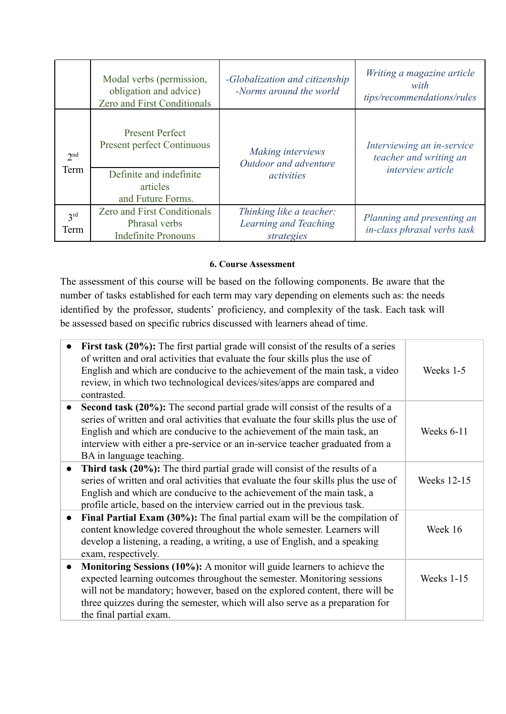|                         | Modal verbs (permission,<br>obligation and advice)<br><b>Zero and First Conditionals</b> | -Globalization and citizenship<br>-Norms around the world       | Writing a magazine article<br>with<br>tips/recommendations/rules |
|-------------------------|------------------------------------------------------------------------------------------|-----------------------------------------------------------------|------------------------------------------------------------------|
| 2 <sup>nd</sup><br>Term | <b>Present Perfect</b><br><b>Present perfect Continuous</b>                              | Making interviews<br>Outdoor and adventure                      | Interviewing an in-service<br>teacher and writing an             |
|                         | Definite and indefinite<br>articles<br>and Future Forms.                                 | <i>activities</i>                                               | <i>interview article</i>                                         |
| 3 <sup>rd</sup><br>Term | <b>Zero and First Conditionals</b><br>Phrasal verbs<br><b>Indefinite Pronouns</b>        | Thinking like a teacher:<br>Learning and Teaching<br>strategies | Planning and presenting an<br>in-class phrasal verbs task        |

# **6. Course Assessment**

The assessment of this course will be based on the following components. Be aware that the number of tasks established for each term may vary depending on elements such as: the needs identified by the professor, students' proficiency, and complexity of the task. Each task will be assessed based on specific rubrics discussed with learners ahead of time.

| $\bullet$ | First task (20%): The first partial grade will consist of the results of a series<br>of written and oral activities that evaluate the four skills plus the use of<br>English and which are conducive to the achievement of the main task, a video<br>review, in which two technological devices/sites/apps are compared and<br>contrasted.                  | Weeks 1-5   |
|-----------|-------------------------------------------------------------------------------------------------------------------------------------------------------------------------------------------------------------------------------------------------------------------------------------------------------------------------------------------------------------|-------------|
| $\bullet$ | Second task (20%): The second partial grade will consist of the results of a<br>series of written and oral activities that evaluate the four skills plus the use of<br>English and which are conducive to the achievement of the main task, an<br>interview with either a pre-service or an in-service teacher graduated from a<br>BA in language teaching. | Weeks 6-11  |
| $\bullet$ | Third task (20%): The third partial grade will consist of the results of a<br>series of written and oral activities that evaluate the four skills plus the use of<br>English and which are conducive to the achievement of the main task, a<br>profile article, based on the interview carried out in the previous task.                                    | Weeks 12-15 |
| $\bullet$ | <b>Final Partial Exam (30%):</b> The final partial exam will be the compilation of<br>content knowledge covered throughout the whole semester. Learners will<br>develop a listening, a reading, a writing, a use of English, and a speaking<br>exam, respectively.                                                                                          | Week 16     |
| $\bullet$ | <b>Monitoring Sessions (10%):</b> A monitor will guide learners to achieve the<br>expected learning outcomes throughout the semester. Monitoring sessions<br>will not be mandatory; however, based on the explored content, there will be<br>three quizzes during the semester, which will also serve as a preparation for<br>the final partial exam.       | Weeks 1-15  |